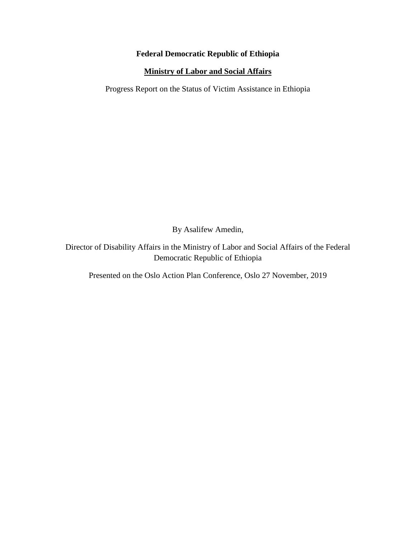## **Federal Democratic Republic of Ethiopia**

## **Ministry of Labor and Social Affairs**

Progress Report on the Status of Victim Assistance in Ethiopia

By Asalifew Amedin,

Director of Disability Affairs in the Ministry of Labor and Social Affairs of the Federal Democratic Republic of Ethiopia

Presented on the Oslo Action Plan Conference, Oslo 27 November, 2019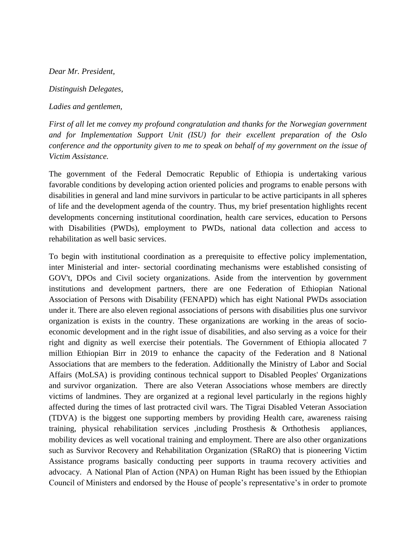*Dear Mr. President,* 

*Distinguish Delegates,*

*Ladies and gentlemen,* 

*First of all let me convey my profound congratulation and thanks for the Norwegian government and for Implementation Support Unit (ISU) for their excellent preparation of the Oslo conference and the opportunity given to me to speak on behalf of my government on the issue of Victim Assistance.*

The government of the Federal Democratic Republic of Ethiopia is undertaking various favorable conditions by developing action oriented policies and programs to enable persons with disabilities in general and land mine survivors in particular to be active participants in all spheres of life and the development agenda of the country. Thus, my brief presentation highlights recent developments concerning institutional coordination, health care services, education to Persons with Disabilities (PWDs), employment to PWDs, national data collection and access to rehabilitation as well basic services.

To begin with institutional coordination as a prerequisite to effective policy implementation, inter Ministerial and inter- sectorial coordinating mechanisms were established consisting of GOV't, DPOs and Civil society organizations. Aside from the intervention by government institutions and development partners, there are one Federation of Ethiopian National Association of Persons with Disability (FENAPD) which has eight National PWDs association under it. There are also eleven regional associations of persons with disabilities plus one survivor organization is exists in the country. These organizations are working in the areas of socioeconomic development and in the right issue of disabilities, and also serving as a voice for their right and dignity as well exercise their potentials. The Government of Ethiopia allocated 7 million Ethiopian Birr in 2019 to enhance the capacity of the Federation and 8 National Associations that are members to the federation. Additionally the Ministry of Labor and Social Affairs (MoLSA) is providing continous technical support to Disabled Peoples' Organizations and survivor organization. There are also Veteran Associations whose members are directly victims of landmines. They are organized at a regional level particularly in the regions highly affected during the times of last protracted civil wars. The Tigrai Disabled Veteran Association (TDVA) is the biggest one supporting members by providing Health care, awareness raising training, physical rehabilitation services ,including Prosthesis & Orthothesis appliances, mobility devices as well vocational training and employment. There are also other organizations such as Survivor Recovery and Rehabilitation Organization (SRaRO) that is pioneering Victim Assistance programs basically conducting peer supports in trauma recovery activities and advocacy. A National Plan of Action (NPA) on Human Right has been issued by the Ethiopian Council of Ministers and endorsed by the House of people's representative's in order to promote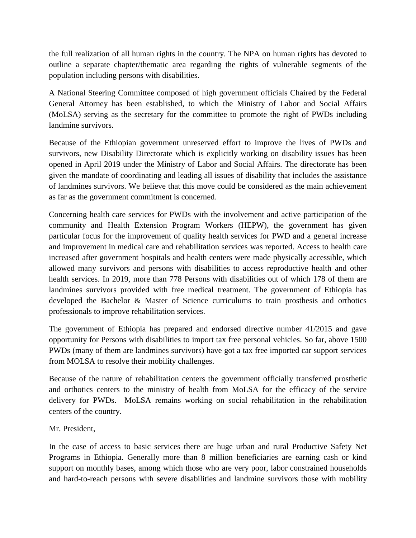the full realization of all human rights in the country. The NPA on human rights has devoted to outline a separate chapter/thematic area regarding the rights of vulnerable segments of the population including persons with disabilities.

A National Steering Committee composed of high government officials Chaired by the Federal General Attorney has been established, to which the Ministry of Labor and Social Affairs (MoLSA) serving as the secretary for the committee to promote the right of PWDs including landmine survivors.

Because of the Ethiopian government unreserved effort to improve the lives of PWDs and survivors, new Disability Directorate which is explicitly working on disability issues has been opened in April 2019 under the Ministry of Labor and Social Affairs. The directorate has been given the mandate of coordinating and leading all issues of disability that includes the assistance of landmines survivors. We believe that this move could be considered as the main achievement as far as the government commitment is concerned.

Concerning health care services for PWDs with the involvement and active participation of the community and Health Extension Program Workers (HEPW), the government has given particular focus for the improvement of quality health services for PWD and a general increase and improvement in medical care and rehabilitation services was reported. Access to health care increased after government hospitals and health centers were made physically accessible, which allowed many survivors and persons with disabilities to access reproductive health and other health services. In 2019, more than 778 Persons with disabilities out of which 178 of them are landmines survivors provided with free medical treatment. The government of Ethiopia has developed the Bachelor & Master of Science curriculums to train prosthesis and orthotics professionals to improve rehabilitation services.

The government of Ethiopia has prepared and endorsed directive number 41/2015 and gave opportunity for Persons with disabilities to import tax free personal vehicles. So far, above 1500 PWDs (many of them are landmines survivors) have got a tax free imported car support services from MOLSA to resolve their mobility challenges.

Because of the nature of rehabilitation centers the government officially transferred prosthetic and orthotics centers to the ministry of health from MoLSA for the efficacy of the service delivery for PWDs. MoLSA remains working on social rehabilitation in the rehabilitation centers of the country.

## Mr. President,

In the case of access to basic services there are huge urban and rural Productive Safety Net Programs in Ethiopia. Generally more than 8 million beneficiaries are earning cash or kind support on monthly bases, among which those who are very poor, labor constrained households and hard-to-reach persons with severe disabilities and landmine survivors those with mobility